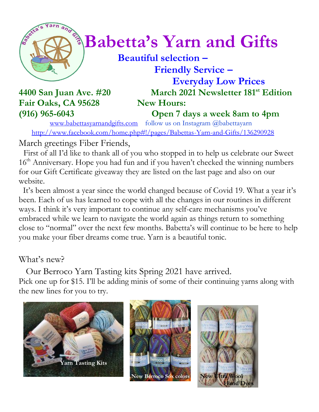

# $^{\circledast}$ **Babetta's Yarn and Gifts**

 **Beautiful selection – Friendly Service –**

**4400 San Juan Ave. #20** Fair Oaks, CA 95628 New Hours:

 **Everyday Low Prices March 2021 Newsletter 181<sup>st</sup> Edition** 

**(916) 965-6043 Open 7 days a week 8am to 4pm**

[www.babettasyarnandgifts.com](http://www.babettasyarnandgifts.com/) follow us on Instagram @babettayarn <http://www.facebook.com/home.php#!/pages/Babettas-Yarn-and-Gifts/136290928>

March greetings Fiber Friends,

 First of all I'd like to thank all of you who stopped in to help us celebrate our Sweet 16<sup>th</sup> Anniversary. Hope you had fun and if you haven't checked the winning numbers for our Gift Certificate giveaway they are listed on the last page and also on our website.

 It's been almost a year since the world changed because of Covid 19. What a year it's been. Each of us has learned to cope with all the changes in our routines in different ways. I think it's very important to continue any self-care mechanisms you've embraced while we learn to navigate the world again as things return to something close to "normal" over the next few months. Babetta's will continue to be here to help you make your fiber dreams come true. Yarn is a beautiful tonic.

#### What's new?

 Our Berroco Yarn Tasting kits Spring 2021 have arrived. Pick one up for \$15. I'll be adding minis of some of their continuing yarns along with

the new lines for you to try.





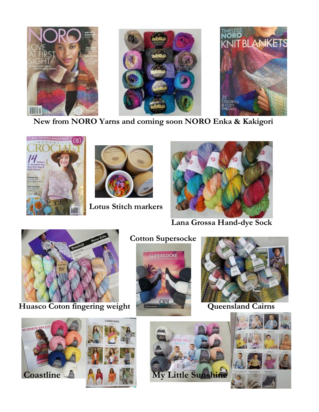

 **New from NORO Yarns and coming soon NORO Enka & Kakigori**





 **Lotus Stitch markers**



 **Lana Grossa Hand-dye Sock**



Huasco Coton fingering weight **Queensland Cairns** 

#### **Cotton Supersocke**











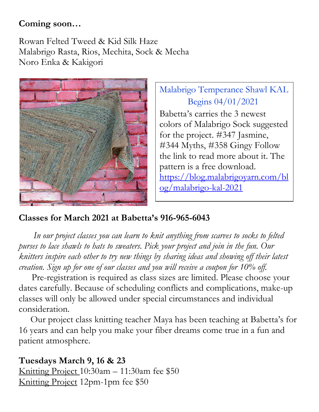#### **Coming soon…**

Rowan Felted Tweed & Kid Silk Haze Malabrigo Rasta, Rios, Mechita, Sock & Mecha Noro Enka & Kakigori



Malabrigo Temperance Shawl KAL Begins 04/01/2021 Babetta's carries the 3 newest

colors of Malabrigo Sock suggested for the project. #347 Jasmine, #344 Myths, #358 Gingy Follow the link to read more about it. The pattern is a free download. [https://blog.malabrigoyarn.com/bl](https://blog.malabrigoyarn.com/blog/malabrigo-kal-2021) [og/malabrigo-kal-2021](https://blog.malabrigoyarn.com/blog/malabrigo-kal-2021)

#### **Classes for March 2021 at Babetta's 916-965-6043**

 *In our project classes you can learn to knit anything from scarves to socks to felted purses to lace shawls to hats to sweaters. Pick your project and join in the fun. Our knitters inspire each other to try new things by sharing ideas and showing off their latest creation. Sign up for one of our classes and you will receive a coupon for 10% off.*

Pre-registration is required as class sizes are limited. Please choose your dates carefully. Because of scheduling conflicts and complications, make-up classes will only be allowed under special circumstances and individual consideration.

Our project class knitting teacher Maya has been teaching at Babetta's for 16 years and can help you make your fiber dreams come true in a fun and patient atmosphere.

#### **Tuesdays March 9, 16 & 23**

Knitting Project 10:30am – 11:30am fee \$50 Knitting Project 12pm-1pm fee \$50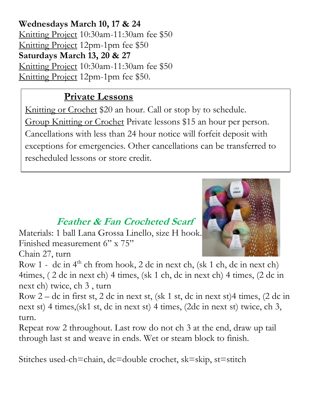**Wednesdays March 10, 17 & 24** Knitting Project 10:30am-11:30am fee \$50 Knitting Project 12pm-1pm fee \$50 **Saturdays March 13, 20 & 27** Knitting Project 10:30am-11:30am fee \$50 Knitting Project 12pm-1pm fee \$50.

## **Private Lessons**

Knitting or Crochet \$20 an hour. Call or stop by to schedule. Group Knitting or Crochet Private lessons \$15 an hour per person. Cancellations with less than 24 hour notice will forfeit deposit with exceptions for emergencies. Other cancellations can be transferred to rescheduled lessons or store credit.

# **Feather & Fan Crocheted Scarf**

Materials: 1 ball Lana Grossa Linello, size H hook. Finished measurement 6" x 75"

Chain 27, turn



Row 1 - dc in  $4<sup>th</sup>$  ch from hook, 2 dc in next ch, (sk 1 ch, dc in next ch) 4times, ( 2 dc in next ch) 4 times, (sk 1 ch, dc in next ch) 4 times, (2 dc in next ch) twice, ch 3 , turn

Row 2 – dc in first st, 2 dc in next st, (sk 1 st, dc in next st)4 times, (2 dc in next st) 4 times,(sk1 st, dc in next st) 4 times, (2dc in next st) twice, ch 3, turn.

Repeat row 2 throughout. Last row do not ch 3 at the end, draw up tail through last st and weave in ends. Wet or steam block to finish.

Stitches used-ch=chain, dc=double crochet, sk=skip, st=stitch